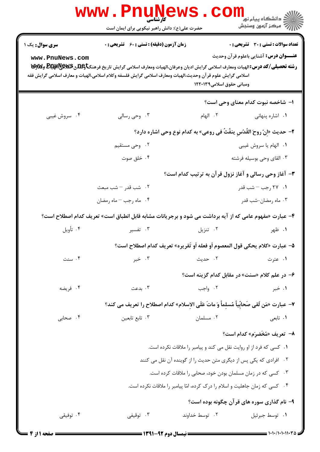|                                                                             | <b>www.Pnunews</b><br>کارشناسی<br>حضرت علی(ع): دانش راهبر نیکویی برای ایمان است                                                                                                                                                                                                           |                           | الاد<br>الادانشگاه پیام نو <mark>ر ا</mark><br>ال <sup>از</sup> مرکز آزمون وسنجش                                  |  |  |
|-----------------------------------------------------------------------------|-------------------------------------------------------------------------------------------------------------------------------------------------------------------------------------------------------------------------------------------------------------------------------------------|---------------------------|-------------------------------------------------------------------------------------------------------------------|--|--|
| <b>سری سوال :</b> یک ۱<br>www.PnuNews.com                                   | <b>زمان آزمون (دقیقه) : تستی : 60 ٪ تشریحی : 0</b><br>رشته تحصیلی/کد درس: الهیات ومعارف اسلامی گرایش ادیان وعرفان،الهیات ومعارف اسلامی گرایش تاریخ فرهنگتاوعلاق&یکیاهپیاچیا<br>اسلامی گرایش علوم قرآن وحدیث،الهیات ومعارف اسلامی گرایش فلسفه وکلام اسلامی،الهیات و معارف اسلامی گرایش فقه | ومبانی حقوق اسلامی۱۲۲۰۱۳۹ | تعداد سوالات : تستي : 30 ٪ تشريحي : 0<br><b>عنــــوان درس:</b> آشنایی باعلوم قرآن وحدیث                           |  |  |
|                                                                             |                                                                                                                                                                                                                                                                                           |                           | ۱– شاخصه نبوت کدام معنای وحی است؟                                                                                 |  |  |
| ۰۴ سروش غيبي                                                                | ۰۳ وحي رسالي                                                                                                                                                                                                                                                                              | ۰۲ الهام                  | ٠١. اشاره پنهانی                                                                                                  |  |  |
|                                                                             |                                                                                                                                                                                                                                                                                           |                           | ٢- حديث «إنّ روحَ القُدُسِ ينفُثُ في روعي» به كدام نوع وحي اشاره دارد؟                                            |  |  |
|                                                                             | ۰۲ وحی مستقیم                                                                                                                                                                                                                                                                             |                           | ٠١. الهام يا سروش غيبي                                                                                            |  |  |
|                                                                             | ۰۴ خلق صوت                                                                                                                                                                                                                                                                                |                           | ۰۳ القای وحی بوسیله فرشته                                                                                         |  |  |
|                                                                             |                                                                                                                                                                                                                                                                                           |                           | ۳- آغاز وحی رسالی و آغاز نزول قرآن به ترتیب کدام است؟                                                             |  |  |
|                                                                             | ٢. شب قدر – شب مبعث                                                                                                                                                                                                                                                                       |                           | ۰۱ ۲۷ <sub>ر</sub> جب <sup>—</sup> شب قدر                                                                         |  |  |
|                                                                             | ۰۴ ماه رجب – ماه رمضان                                                                                                                                                                                                                                                                    |                           | ۰۳ ماه رمضان-شب قدر                                                                                               |  |  |
|                                                                             | ۴- عبارت «مفهوم عامی که از آیه برداشت می شود و برجریانات مشابه قابل انطباق است» تعریف کدام اصطلاح است؟                                                                                                                                                                                    |                           |                                                                                                                   |  |  |
| ۰۴ تأويل                                                                    | ۰۳ تفسیر                                                                                                                                                                                                                                                                                  | ۰۲ تنزیل                  | ۰۱ ظهر                                                                                                            |  |  |
|                                                                             | ۵− عبارت «كلام يحكي قول المعصوم أو فعله أو تَقريره» تعريف كدام اصطلاح است؟                                                                                                                                                                                                                |                           |                                                                                                                   |  |  |
| ۰۴ سنت                                                                      | ۰۳ خبر                                                                                                                                                                                                                                                                                    |                           | <mark>1</mark> . عترت مسلم ساحت المعنى المسلم المسلم المسلم المسلم المسلم المسلم المسلم المسلم المسلم المسلم المس |  |  |
|                                                                             |                                                                                                                                                                                                                                                                                           |                           | ۶- در علم کلام «سنت» در مقابل کدام گزینه است؟                                                                     |  |  |
| ۰۴ فريضه                                                                    | ۰۳ بدعت                                                                                                                                                                                                                                                                                   | ۰۲ واجب                   | ۰۱ خبر                                                                                                            |  |  |
|                                                                             | ٧- عبارت «مَن لَقى صَحابِّياً مُسلماً وَ ماتَ عَلَى الإسلام» كدام اصطلاح را تعريف مى كند؟                                                                                                                                                                                                 |                           |                                                                                                                   |  |  |
| ۰۴ صحابی                                                                    | ۰۳ تابع تابعين                                                                                                                                                                                                                                                                            | ۰۲ مسلمان                 | ۰۱ تابعی                                                                                                          |  |  |
|                                                                             |                                                                                                                                                                                                                                                                                           |                           | ٨– تعريف «مُخَضرَم» كدام است؟                                                                                     |  |  |
|                                                                             | ۰۱ کسی که فرد از او روایت نقل می کند و پیامبر را ملاقات نکرده است.                                                                                                                                                                                                                        |                           |                                                                                                                   |  |  |
|                                                                             |                                                                                                                                                                                                                                                                                           |                           | ۰۲ افرادی که یکی پس از دیگری متن حدیث را از گوینده آن نقل می کنند                                                 |  |  |
|                                                                             | ۰۳ کسی که در زمان مسلمان بودن خود، صحابی را ملاقات کرده است.                                                                                                                                                                                                                              |                           |                                                                                                                   |  |  |
| ۰۴ کسی که زمان جاهلیت و اسلام را درک کرده، امّا پیامبر را ملاقات نکرده است. |                                                                                                                                                                                                                                                                                           |                           |                                                                                                                   |  |  |
|                                                                             |                                                                                                                                                                                                                                                                                           |                           | ۹- نام گذاری سوره های قرآن چگونه بوده است؟                                                                        |  |  |
| ۰۴ توفیقی                                                                   | ۰۳ توقیفی                                                                                                                                                                                                                                                                                 | ۰۲ توسط خداوند            | ٠١ توسط جبرئيل                                                                                                    |  |  |
|                                                                             |                                                                                                                                                                                                                                                                                           |                           |                                                                                                                   |  |  |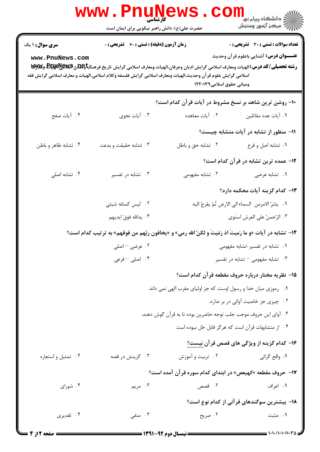|                        | <b>WWW.PNUNG</b><br>کارشناسی<br>حضرت علی(ع): دانش راهبر نیکویی برای ایمان است |                                                                                                                                                                                                                                                                        | د دانشگاه پيام نور<br>ا∛ مرکز آزمون وسنجش             |
|------------------------|-------------------------------------------------------------------------------|------------------------------------------------------------------------------------------------------------------------------------------------------------------------------------------------------------------------------------------------------------------------|-------------------------------------------------------|
| <b>سری سوال : ۱ یک</b> | <b>زمان آزمون (دقیقه) : تستی : 60 ٪ تشریحی : 0</b>                            |                                                                                                                                                                                                                                                                        | <b>تعداد سوالات : تستی : 30 ٪ تشریحی : 0</b>          |
| www.PnuNews.com        |                                                                               | رشته تحصیلی/کد درس: الهیات ومعارف اسلامی گرایش ادیان وعرفان،الهیات ومعارف اسلامی گرایش تاریخ فرهنگتاویلگی Bلیکاویلایا<br>.<br>اسلامی گرایش علوم قر آن وحدیث،الهیات ومعارف اسلامی گرایش فلسفه وکلام اسلامی،الهیات و معارف اسلامی گرایش فقه<br>ومبانی حقوق اسلامی۱۲۲۰۱۳۹ | <b>عنـــوان درس:</b> آشنایی باعلوم قرآن وحدیث         |
|                        |                                                                               | ۱۰- روشن ترین شاهد بر نسخ مشروط در آیات قرآن کدام است؟                                                                                                                                                                                                                 |                                                       |
| ۰۴ آیات صفح            | ۰۳ آيات نجوي                                                                  | ٠٢ آيات معاهده                                                                                                                                                                                                                                                         | ۰۱ آیات عدد مقاتلین                                   |
|                        |                                                                               |                                                                                                                                                                                                                                                                        | 11- منظور از تشابه در آیات متشابه چیست؟               |
| ۰۴ تشابه ظاهر و باطن   | ۰۳ تشابه حقیقت و بدعت                                                         | ٠٢ تشابه حق و باطل                                                                                                                                                                                                                                                     | ۰۱ تشابه اصل و فرع                                    |
|                        | ۱۲– عمده ترین تشابه در قرآن کدام است؟                                         |                                                                                                                                                                                                                                                                        |                                                       |
| ۰۴ تشابه اصلی          | ۰۳ تشابه در تفسیر                                                             | ۰۲ تشابه مفهومی                                                                                                                                                                                                                                                        | ۰۱ تشابه عرضی                                         |
|                        |                                                                               |                                                                                                                                                                                                                                                                        | ۱۳– کدام گزینه آیات محکمه دارد؟                       |
|                        | ۰۲ أيس كمثله شيئى                                                             |                                                                                                                                                                                                                                                                        | ٠١. يدَّبرُ الامرمن السماء الى الارض ثُمّ يعُرجُ اليه |
|                        | ۰۴ يدالله فوقَ ايديهم                                                         |                                                                                                                                                                                                                                                                        | ۰۳ الرّحمنُ على العرش استوى                           |
|                        |                                                                               | 1۴- تشابه در آیات «و ما رَمیتَ اذ رَمَیتَ و لکنّ الله رمی» و «یخافون ربّهم من فوقهم» به ترتیب کدام است؟                                                                                                                                                                |                                                       |
|                        | ۰۲ عرضی – اصلی                                                                |                                                                                                                                                                                                                                                                        | ۰۱ تشابه در تفسیر-تشابه مفهومی                        |
|                        | ۰۴ اصلی -فرعی                                                                 |                                                                                                                                                                                                                                                                        | ۰۳ تشابه مفهومی $-$ تشابه در تفسیر                    |
|                        |                                                                               |                                                                                                                                                                                                                                                                        | ۱۵– نظریه مختار درباره حروف مقطعه قرآن کدام است؟      |
|                        |                                                                               | ٠١ رموزي ميان خدا و رسول اوست كه جز اولياي مقرب الهي نمي داند.                                                                                                                                                                                                         |                                                       |
|                        |                                                                               |                                                                                                                                                                                                                                                                        | ٠٢ چيزي جز خاصيت آوائي در بر ندارد.                   |
|                        |                                                                               | ۰۳ آوای این حروف موجب جلب توجه حاضرین بوده تا به قرآن گوش دهند.                                                                                                                                                                                                        |                                                       |
|                        |                                                                               | ۰۴ از متشابهات قرآن است که هرگز قابل حّل نبوده است                                                                                                                                                                                                                     |                                                       |
|                        |                                                                               |                                                                                                                                                                                                                                                                        | ۱۶– کدام گزینه از ویژگی های قصص قرآن نیست؟            |
| ۰۴ تمثيل واستعاره      | ۰۳ گزینش در قصه                                                               | ۰۲ تربیت و آموزش                                                                                                                                                                                                                                                       | ٠١. واقع گرائي                                        |
|                        |                                                                               | ۱۷- حروف مقطعه «کهیعص» در ابتدای کدام سوره قرآن آمده است؟                                                                                                                                                                                                              |                                                       |
| ۰۴ شورای               | ۰۳ مريم                                                                       | ۰۲ قصص                                                                                                                                                                                                                                                                 | ۰۱ اعراف                                              |
|                        |                                                                               |                                                                                                                                                                                                                                                                        | ۱۸− بیشترین سوگندهای قرآنی از کدام نوع است؟           |
| ۰۴ تقدیری              | ۰۳ منفی                                                                       | ۰۲ صریح                                                                                                                                                                                                                                                                | ۰۱ مثبت                                               |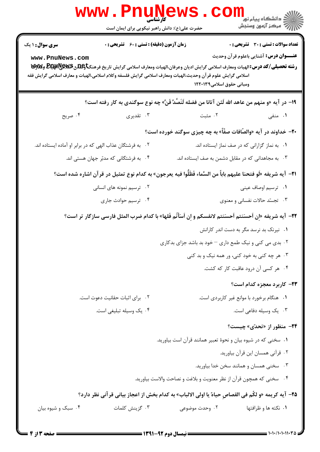| سری سوال: ۱ یک                                            | <b>زمان آزمون (دقیقه) : تستی : 60 ٪ تشریحی : 0</b> |                                                                                                                                                                                                                                                                   | <b>تعداد سوالات : تستی : 30 ٪ تشریحی : 0</b>    |
|-----------------------------------------------------------|----------------------------------------------------|-------------------------------------------------------------------------------------------------------------------------------------------------------------------------------------------------------------------------------------------------------------------|-------------------------------------------------|
| www.PnuNews.com                                           |                                                    | رشته تحصیلی/کد درس: الهیات ومعارف اسلامی گرایش ادیان وعرفان،الهیات ومعارف اسلامی گرایش تاریخ فرهنگتاوعلاق&یکیاهپیاچیا<br>اسلامی گرایش علوم قر آن وحدیث،الهیات ومعارف اسلامی گرایش فلسفه وکلام اسلامی،الهیات و معارف اسلامی گرایش فقه<br>ومبانی حقوق اسلامی۱۲۲۰۱۳۹ | <b>عنـــوان درس:</b> آشنایی باعلوم قرآن وحدیث   |
|                                                           |                                                    | ١٩- در آيه «و منهم من عاهد الله لَئن آتانا من فضله لَنَصَّدَّ قَنَّ» چه نوع سوگندي به كار رفته است؟                                                                                                                                                               |                                                 |
| ۰۴ صریح                                                   | ۰۳ تقدیری                                          | ۰۲ مثبت                                                                                                                                                                                                                                                           | ۰۱ منفی                                         |
|                                                           |                                                    | <b>۲۰</b> - خداوند در آیه «والصّافات صفّاً» به چه چیزی سوگند خورده است؟                                                                                                                                                                                           |                                                 |
| ۰۲ به فرشتگان عذاب الهی که در برابر او آماده ایستاده اند. |                                                    |                                                                                                                                                                                                                                                                   | ٠١. به نماز گزارانی که در صف نماز ايستاده اند.  |
|                                                           | ۰۴ به فرشتگانی که مدبّر جهان هستی اند.             | ۰۳ به مجاهدانی که در مقابل دشمن به صف ایستاده اند.                                                                                                                                                                                                                |                                                 |
|                                                           |                                                    | 21−  آيه شريفه «لَو فتحنا عليهم باباً من السَّماء فَظَلُّوا فيه يعرجون» به كدام نوع تمثيل در قرآن اشاره شده است؟                                                                                                                                                  |                                                 |
|                                                           | ۰۲ ترسیم نمونه های انسانی                          |                                                                                                                                                                                                                                                                   | ۰۱ ترسیم اوصاف عینی                             |
|                                                           | ۰۴ ترسیم حوادث جاری                                |                                                                                                                                                                                                                                                                   | ۰۳ تجسّد حالات نفسانی و معنوی                   |
|                                                           |                                                    | 2۲- آيه شريفه «إِن اَحسَنتم اَحسَنتم لانفسكم و إِن اَسَأْتُم فَلها» با كدام ضرب المثل فارسى سازگار تر است؟                                                                                                                                                        |                                                 |
|                                                           |                                                    |                                                                                                                                                                                                                                                                   | ۰۱ نیرنک بد نرسد مگر به دست اندر کارانش         |
|                                                           |                                                    | ۰۲ بدی می کنی و نیک طمع داری – خود بد باشد جزای بدکاری                                                                                                                                                                                                            |                                                 |
|                                                           |                                                    |                                                                                                                                                                                                                                                                   | ۰۳ هر چه کنی به خود کنی، ور همه نیک و بد کنی    |
|                                                           |                                                    |                                                                                                                                                                                                                                                                   | ۰۴ هر کسی آن درود عاقبت کار که کشت.             |
|                                                           |                                                    |                                                                                                                                                                                                                                                                   | ۲۳– کاربرد معجزه کدام است؟                      |
|                                                           | ٠٢ براى اثبات حقانيت دعوت است.                     |                                                                                                                                                                                                                                                                   | ٠١. هنگام برخورد با موانع غير كاربردي است.      |
|                                                           | ۰۴ يک وسيله تبليغي است.                            |                                                                                                                                                                                                                                                                   | ۰۳ يک وسيله دفاعي است.                          |
|                                                           |                                                    |                                                                                                                                                                                                                                                                   | <b>۲۴</b> - منظور از «تحد <sub>ّ</sub> ی» چیست؟ |
|                                                           |                                                    | ۰۱ سخنی که در شیوه بیان و نحوهٔ تعبیر همانند قرآن است بیاورید.                                                                                                                                                                                                    |                                                 |
|                                                           |                                                    |                                                                                                                                                                                                                                                                   | ٠٢ قرآني همسان اين قرآن بياوريد.                |
|                                                           |                                                    |                                                                                                                                                                                                                                                                   | ۰۳ سخنی همسان و همانند سخن خدا بیاورید.         |
|                                                           |                                                    | ۰۴ سخنی که همچون قرآن از نظر معنویت و بلاغت و نصاحت والاست بیاورید.                                                                                                                                                                                               |                                                 |
|                                                           |                                                    | 7۵–  آيه كريمه «و لكُم في القصاصِ حياهٌ يا اولى الالباب» به كدام بخش از اعجاز بياني قر آني نظر دارد؟                                                                                                                                                              |                                                 |
| ۰۴ سبک و شیوه بیان                                        | ۰۳ گزينش كلمات                                     | ۰۲ وحدت موضوعی                                                                                                                                                                                                                                                    | ٠١ نكته ها و ظرافتها                            |